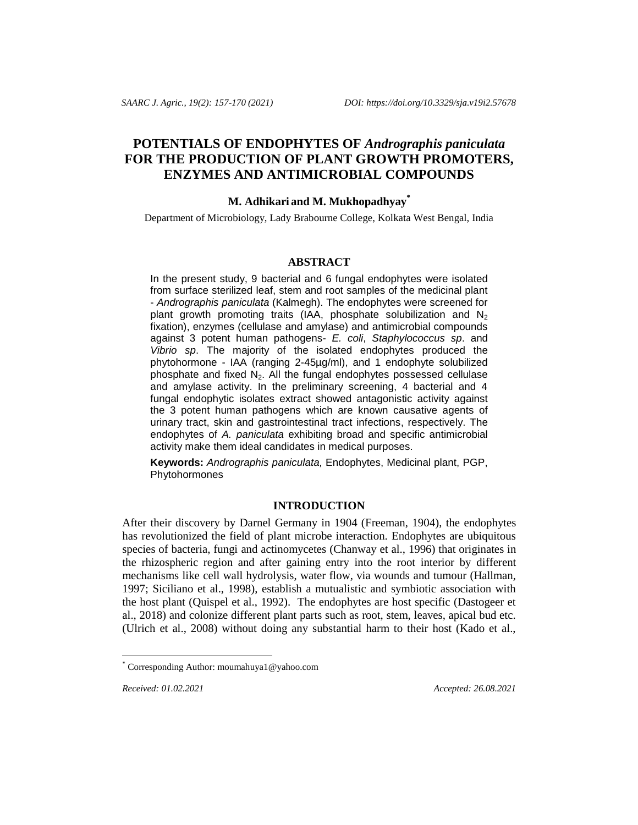# **POTENTIALS OF ENDOPHYTES OF** *Andrographis paniculata* **FOR THE PRODUCTION OF PLANT GROWTH PROMOTERS, ENZYMES AND ANTIMICROBIAL COMPOUNDS**

# **M. Adhikari and M. Mukhopadhyay\***

Department of Microbiology, Lady Brabourne College, Kolkata West Bengal, India

## **ABSTRACT**

In the present study, 9 bacterial and 6 fungal endophytes were isolated from surface sterilized leaf, stem and root samples of the medicinal plant - *Andrographis paniculata* (Kalmegh). The endophytes were screened for plant growth promoting traits (IAA, phosphate solubilization and  $N_2$ fixation), enzymes (cellulase and amylase) and antimicrobial compounds against 3 potent human pathogens- *E. coli*, *Staphylococcus sp*. and *Vibrio sp*. The majority of the isolated endophytes produced the phytohormone - IAA (ranging 2-45µg/ml), and 1 endophyte solubilized phosphate and fixed  $N_2$ . All the fungal endophytes possessed cellulase and amylase activity. In the preliminary screening, 4 bacterial and 4 fungal endophytic isolates extract showed antagonistic activity against the 3 potent human pathogens which are known causative agents of urinary tract, skin and gastrointestinal tract infections, respectively. The endophytes of *A. paniculata* exhibiting broad and specific antimicrobial activity make them ideal candidates in medical purposes.

**Keywords:** *Andrographis paniculata,* Endophytes, Medicinal plant, PGP, Phytohormones

## **INTRODUCTION**

After their discovery by Darnel Germany in 1904 (Freeman, 1904), the endophytes has revolutionized the field of plant microbe interaction. Endophytes are ubiquitous species of bacteria, fungi and actinomycetes (Chanway et al., 1996) that originates in the rhizospheric region and after gaining entry into the root interior by different mechanisms like cell wall hydrolysis, water flow, via wounds and tumour (Hallman, 1997; Siciliano et al., 1998), establish a mutualistic and symbiotic association with the host plant (Quispel et al., 1992). The endophytes are host specific (Dastogeer et al., 2018) and colonize different plant parts such as root, stem, leaves, apical bud etc. (Ulrich et al., 2008) without doing any substantial harm to their host (Kado et al.,

l

*Received: 01.02.2021 Accepted: 26.08.2021* 

Corresponding Author: moumahuya1@yahoo.com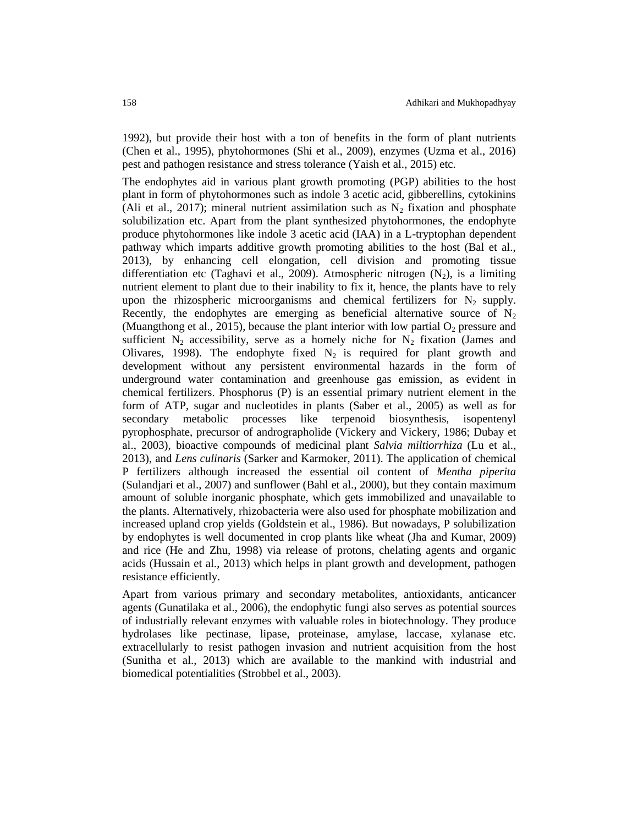1992), but provide their host with a ton of benefits in the form of plant nutrients (Chen et al., 1995), phytohormones (Shi et al., 2009), enzymes (Uzma et al., 2016) pest and pathogen resistance and stress tolerance (Yaish et al., 2015) etc.

The endophytes aid in various plant growth promoting (PGP) abilities to the host plant in form of phytohormones such as indole 3 acetic acid, gibberellins, cytokinins (Ali et al., 2017); mineral nutrient assimilation such as  $N_2$  fixation and phosphate solubilization etc. Apart from the plant synthesized phytohormones, the endophyte produce phytohormones like indole 3 acetic acid (IAA) in a L-tryptophan dependent pathway which imparts additive growth promoting abilities to the host (Bal et al., 2013), by enhancing cell elongation, cell division and promoting tissue differentiation etc (Taghavi et al., 2009). Atmospheric nitrogen  $(N_2)$ , is a limiting nutrient element to plant due to their inability to fix it, hence, the plants have to rely upon the rhizospheric microorganisms and chemical fertilizers for  $N_2$  supply. Recently, the endophytes are emerging as beneficial alternative source of  $N_2$ (Muangthong et al., 2015), because the plant interior with low partial  $O_2$  pressure and sufficient  $N_2$  accessibility, serve as a homely niche for  $N_2$  fixation (James and Olivares, 1998). The endophyte fixed  $N_2$  is required for plant growth and development without any persistent environmental hazards in the form of underground water contamination and greenhouse gas emission, as evident in chemical fertilizers. Phosphorus (P) is an essential primary nutrient element in the form of ATP, sugar and nucleotides in plants (Saber et al., 2005) as well as for secondary metabolic processes like terpenoid biosynthesis, isopentenyl pyrophosphate, precursor of andrographolide (Vickery and Vickery, 1986; Dubay et al., 2003), bioactive compounds of medicinal plant *Salvia miltiorrhiza* (Lu et al*.,* 2013), and *Lens culinaris* (Sarker and Karmoker, 2011). The application of chemical P fertilizers although increased the essential oil content of *Mentha piperita* (Sulandjari et al., 2007) and sunflower (Bahl et al., 2000), but they contain maximum amount of soluble inorganic phosphate, which gets immobilized and unavailable to the plants. Alternatively, rhizobacteria were also used for phosphate mobilization and increased upland crop yields (Goldstein et al., 1986). But nowadays, P solubilization by endophytes is well documented in crop plants like wheat (Jha and Kumar, 2009) and rice (He and Zhu, 1998) via release of protons, chelating agents and organic acids (Hussain et al., 2013) which helps in plant growth and development, pathogen resistance efficiently.

Apart from various primary and secondary metabolites, antioxidants, anticancer agents (Gunatilaka et al., 2006), the endophytic fungi also serves as potential sources of industrially relevant enzymes with valuable roles in biotechnology. They produce hydrolases like pectinase, lipase, proteinase, amylase, laccase, xylanase etc. extracellularly to resist pathogen invasion and nutrient acquisition from the host (Sunitha et al., 2013) which are available to the mankind with industrial and biomedical potentialities (Strobbel et al., 2003).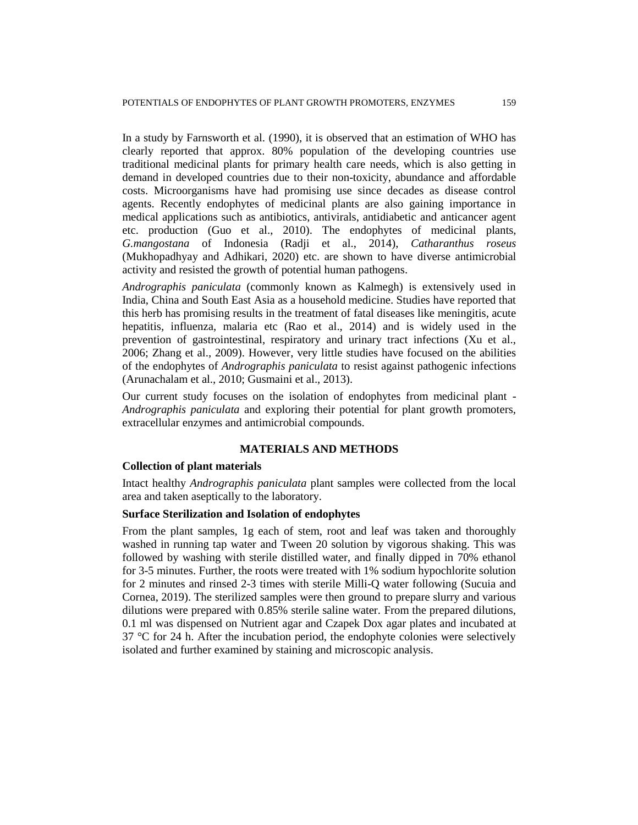In a study by Farnsworth et al*.* (1990), it is observed that an estimation of WHO has clearly reported that approx. 80% population of the developing countries use traditional medicinal plants for primary health care needs, which is also getting in demand in developed countries due to their non-toxicity, abundance and affordable costs. Microorganisms have had promising use since decades as disease control agents. Recently endophytes of medicinal plants are also gaining importance in medical applications such as antibiotics, antivirals, antidiabetic and anticancer agent etc. production (Guo et al., 2010). The endophytes of medicinal plants, *G.mangostana* of Indonesia (Radji et al., 2014), *Catharanthus roseus* (Mukhopadhyay and Adhikari, 2020) etc. are shown to have diverse antimicrobial activity and resisted the growth of potential human pathogens.

*Andrographis paniculata* (commonly known as Kalmegh) is extensively used in India, China and South East Asia as a household medicine. Studies have reported that this herb has promising results in the treatment of fatal diseases like meningitis, acute hepatitis, influenza, malaria etc (Rao et al., 2014) and is widely used in the prevention of gastrointestinal, respiratory and urinary tract infections (Xu et al., 2006; Zhang et al., 2009). However, very little studies have focused on the abilities of the endophytes of *Andrographis paniculata* to resist against pathogenic infections (Arunachalam et al., 2010; Gusmaini et al., 2013).

Our current study focuses on the isolation of endophytes from medicinal plant - *Andrographis paniculata* and exploring their potential for plant growth promoters, extracellular enzymes and antimicrobial compounds.

#### **MATERIALS AND METHODS**

### **Collection of plant materials**

Intact healthy *Andrographis paniculata* plant samples were collected from the local area and taken aseptically to the laboratory.

## **Surface Sterilization and Isolation of endophytes**

From the plant samples, 1g each of stem, root and leaf was taken and thoroughly washed in running tap water and Tween 20 solution by vigorous shaking. This was followed by washing with sterile distilled water, and finally dipped in 70% ethanol for 3-5 minutes. Further, the roots were treated with 1% sodium hypochlorite solution for 2 minutes and rinsed 2-3 times with sterile Milli-Q water following (Sucuia and Cornea, 2019). The sterilized samples were then ground to prepare slurry and various dilutions were prepared with 0.85% sterile saline water. From the prepared dilutions, 0.1 ml was dispensed on Nutrient agar and Czapek Dox agar plates and incubated at 37 °C for 24 h. After the incubation period, the endophyte colonies were selectively isolated and further examined by staining and microscopic analysis.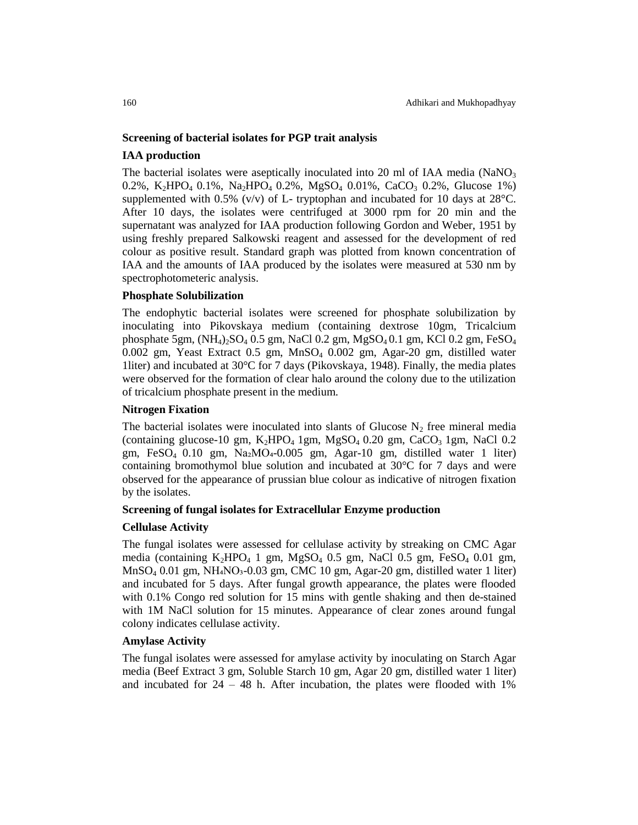#### **Screening of bacterial isolates for PGP trait analysis**

## **IAA production**

The bacterial isolates were aseptically inoculated into 20 ml of IAA media (NaNO<sub>3</sub>) 0.2%, K<sub>2</sub>HPO<sub>4</sub> 0.1%, Na<sub>2</sub>HPO<sub>4</sub> 0.2%, MgSO<sub>4</sub> 0.01%, CaCO<sub>3</sub> 0.2%, Glucose 1%) supplemented with 0.5% (v/v) of L- tryptophan and incubated for 10 days at  $28^{\circ}$ C. After 10 days, the isolates were centrifuged at 3000 rpm for 20 min and the supernatant was analyzed for IAA production following Gordon and Weber, 1951 by using freshly prepared Salkowski reagent and assessed for the development of red colour as positive result. Standard graph was plotted from known concentration of IAA and the amounts of IAA produced by the isolates were measured at 530 nm by spectrophotometeric analysis.

## **Phosphate Solubilization**

The endophytic bacterial isolates were screened for phosphate solubilization by inoculating into Pikovskaya medium (containing dextrose 10gm, Tricalcium phosphate 5gm,  $(NH_4)_{2}SO_4$  0.5 gm, NaCl 0.2 gm, MgSO<sub>4</sub> 0.1 gm, KCl 0.2 gm, FeSO<sub>4</sub> 0.002 gm, Yeast Extract 0.5 gm, MnSO<sup>4</sup> 0.002 gm, Agar-20 gm, distilled water 1liter) and incubated at 30 $\degree$ C for 7 days (Pikovskaya, 1948). Finally, the media plates were observed for the formation of clear halo around the colony due to the utilization of tricalcium phosphate present in the medium.

## **Nitrogen Fixation**

The bacterial isolates were inoculated into slants of Glucose  $N_2$  free mineral media (containing glucose-10 gm,  $K_2HPO_4$  1gm,  $MgSO_4$  0.20 gm, CaCO<sub>3</sub> 1gm, NaCl 0.2 gm, Fe $SO_4$  0.10 gm, Na2MO<sub>4</sub>-0.005 gm, Agar-10 gm, distilled water 1 liter) containing bromothymol blue solution and incubated at  $30^{\circ}$ C for 7 days and were observed for the appearance of prussian blue colour as indicative of nitrogen fixation by the isolates.

#### **Screening of fungal isolates for Extracellular Enzyme production**

#### **Cellulase Activity**

The fungal isolates were assessed for cellulase activity by streaking on CMC Agar media (containing  $K_2HPO_4$  1 gm,  $MgSO_4$  0.5 gm, NaCl 0.5 gm, FeSO<sub>4</sub> 0.01 gm, MnSO<sub>4</sub> 0.01 gm, NH<sub>4</sub>NO<sub>3</sub>-0.03 gm, CMC 10 gm, Agar-20 gm, distilled water 1 liter) and incubated for 5 days. After fungal growth appearance, the plates were flooded with 0.1% Congo red solution for 15 mins with gentle shaking and then de-stained with 1M NaCl solution for 15 minutes. Appearance of clear zones around fungal colony indicates cellulase activity.

#### **Amylase Activity**

The fungal isolates were assessed for amylase activity by inoculating on Starch Agar media (Beef Extract 3 gm, Soluble Starch 10 gm, Agar 20 gm, distilled water 1 liter) and incubated for  $24 - 48$  h. After incubation, the plates were flooded with  $1\%$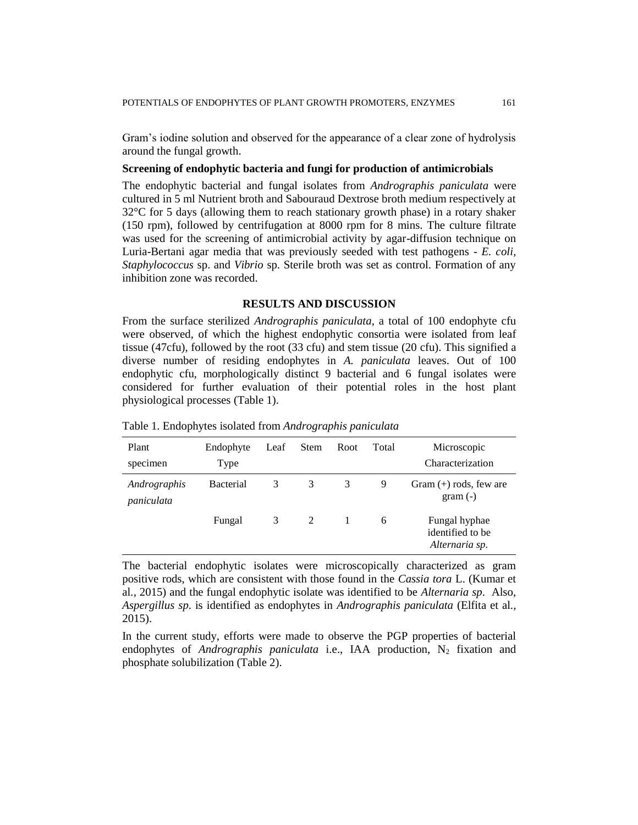Gram's iodine solution and observed for the appearance of a clear zone of hydrolysis around the fungal growth.

#### **Screening of endophytic bacteria and fungi for production of antimicrobials**

The endophytic bacterial and fungal isolates from *Andrographis paniculata* were cultured in 5 ml Nutrient broth and Sabouraud Dextrose broth medium respectively at 32°C for 5 days (allowing them to reach stationary growth phase) in a rotary shaker (150 rpm), followed by centrifugation at 8000 rpm for 8 mins. The culture filtrate was used for the screening of antimicrobial activity by agar-diffusion technique on Luria-Bertani agar media that was previously seeded with test pathogens - *E. coli*, *Staphylococcus* sp. and *Vibrio* sp. Sterile broth was set as control. Formation of any inhibition zone was recorded.

## **RESULTS AND DISCUSSION**

From the surface sterilized *Andrographis paniculata*, a total of 100 endophyte cfu were observed, of which the highest endophytic consortia were isolated from leaf tissue (47cfu), followed by the root (33 cfu) and stem tissue (20 cfu). This signified a diverse number of residing endophytes in *A. paniculata* leaves. Out of 100 endophytic cfu, morphologically distinct 9 bacterial and 6 fungal isolates were considered for further evaluation of their potential roles in the host plant physiological processes (Table 1).

| Plant<br>specimen          | Endophyte<br>Type | Leaf | <b>Stem</b> | Root | Total | Microscopic<br>Characterization                     |
|----------------------------|-------------------|------|-------------|------|-------|-----------------------------------------------------|
| Andrographis<br>paniculata | <b>Bacterial</b>  | 3    | 3           | 3    | 9     | Gram $(+)$ rods, few are<br>$gram(-)$               |
|                            | Fungal            | 3    | 2           |      | 6     | Fungal hyphae<br>identified to be<br>Alternaria sp. |

Table 1. Endophytes isolated from *Andrographis paniculata*

The bacterial endophytic isolates were microscopically characterized as gram positive rods, which are consistent with those found in the *Cassia tora* L. (Kumar et al*.,* 2015) and the fungal endophytic isolate was identified to be *Alternaria sp*. Also, *Aspergillus sp*. is identified as endophytes in *Andrographis paniculata* (Elfita et al*.,* 2015).

In the current study, efforts were made to observe the PGP properties of bacterial endophytes of *Andrographis paniculata* i.e., IAA production, N<sub>2</sub> fixation and phosphate solubilization (Table 2).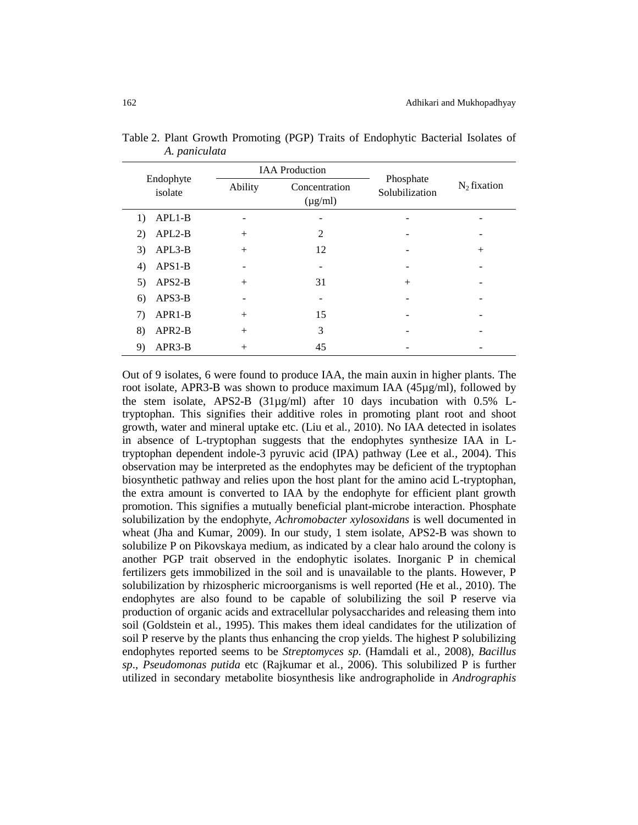|                      |         | <b>IAA</b> Production         |                             | $N_2$ fixation |
|----------------------|---------|-------------------------------|-----------------------------|----------------|
| Endophyte<br>isolate | Ability | Concentration<br>$(\mu g/ml)$ | Phosphate<br>Solubilization |                |
| $APL1-B$<br>1)       |         |                               |                             |                |
| $APL2-B$<br>2)       | $^{+}$  | 2                             |                             |                |
| APL3-B<br>3)         | $^{+}$  | 12                            |                             | $^{+}$         |
| $APS1-B$<br>4)       | -       |                               |                             |                |
| $APS2-B$<br>5)       | $^{+}$  | 31                            | $^{+}$                      |                |
| APS3-B<br>6)         |         |                               |                             |                |
| APR1-B<br>7)         | $+$     | 15                            |                             |                |
| 8)<br>$APR2-B$       | $^{+}$  | 3                             |                             |                |
| APR3-B<br>9)         | $^{+}$  | 45                            |                             |                |

Table 2. Plant Growth Promoting (PGP) Traits of Endophytic Bacterial Isolates of *A. paniculata*

Out of 9 isolates, 6 were found to produce IAA, the main auxin in higher plants. The root isolate, APR3-B was shown to produce maximum IAA  $(45\mu g/ml)$ , followed by the stem isolate, APS2-B (31µg/ml) after 10 days incubation with 0.5% Ltryptophan. This signifies their additive roles in promoting plant root and shoot growth, water and mineral uptake etc. (Liu et al*.,* 2010). No IAA detected in isolates in absence of L-tryptophan suggests that the endophytes synthesize IAA in Ltryptophan dependent indole-3 pyruvic acid (IPA) pathway (Lee et al*.,* 2004). This observation may be interpreted as the endophytes may be deficient of the tryptophan biosynthetic pathway and relies upon the host plant for the amino acid L-tryptophan, the extra amount is converted to IAA by the endophyte for efficient plant growth promotion. This signifies a mutually beneficial plant-microbe interaction. Phosphate solubilization by the endophyte, *Achromobacter xylosoxidans* is well documented in wheat (Jha and Kumar, 2009). In our study, 1 stem isolate, APS2-B was shown to solubilize P on Pikovskaya medium, as indicated by a clear halo around the colony is another PGP trait observed in the endophytic isolates. Inorganic P in chemical fertilizers gets immobilized in the soil and is unavailable to the plants. However, P solubilization by rhizospheric microorganisms is well reported (He et al*.,* 2010). The endophytes are also found to be capable of solubilizing the soil P reserve via production of organic acids and extracellular polysaccharides and releasing them into soil (Goldstein et al*.,* 1995). This makes them ideal candidates for the utilization of soil P reserve by the plants thus enhancing the crop yields. The highest P solubilizing endophytes reported seems to be *Streptomyces sp*. (Hamdali et al*.,* 2008), *Bacillus sp*., *Pseudomonas putida* etc (Rajkumar et al*.,* 2006). This solubilized P is further utilized in secondary metabolite biosynthesis like andrographolide in *Andrographis*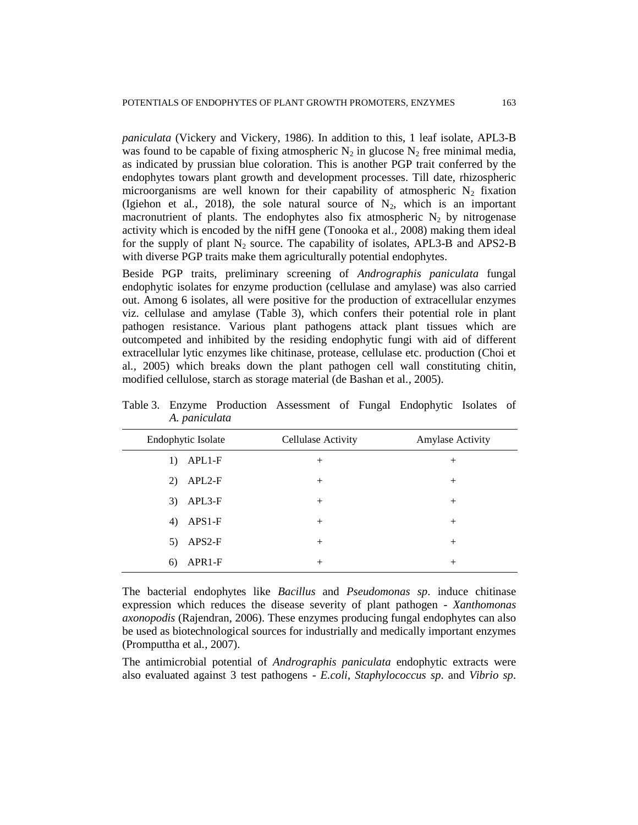*paniculata* (Vickery and Vickery, 1986). In addition to this, 1 leaf isolate, APL3-B was found to be capable of fixing atmospheric  $N_2$  in glucose  $N_2$  free minimal media, as indicated by prussian blue coloration. This is another PGP trait conferred by the endophytes towars plant growth and development processes. Till date, rhizospheric microorganisms are well known for their capability of atmospheric  $N_2$  fixation (Igiehon et al., 2018), the sole natural source of  $N_2$ , which is an important macronutrient of plants. The endophytes also fix atmospheric  $N_2$  by nitrogenase activity which is encoded by the nifH gene (Tonooka et al*.,* 2008) making them ideal for the supply of plant  $N_2$  source. The capability of isolates, APL3-B and APS2-B with diverse PGP traits make them agriculturally potential endophytes.

Beside PGP traits, preliminary screening of *Andrographis paniculata* fungal endophytic isolates for enzyme production (cellulase and amylase) was also carried out. Among 6 isolates, all were positive for the production of extracellular enzymes viz. cellulase and amylase (Table 3), which confers their potential role in plant pathogen resistance. Various plant pathogens attack plant tissues which are outcompeted and inhibited by the residing endophytic fungi with aid of different extracellular lytic enzymes like chitinase, protease, cellulase etc. production (Choi et al*.,* 2005) which breaks down the plant pathogen cell wall constituting chitin, modified cellulose, starch as storage material (de Bashan et al*.,* 2005).

| Endophytic Isolate        | Cellulase Activity | Amylase Activity |
|---------------------------|--------------------|------------------|
| $APL1-F$<br>1)            | $^{+}$             | $^{+}$           |
| APL <sub>2</sub> -F<br>2) | $^{+}$             | $^{+}$           |
| APL3-F<br>3)              | $^{+}$             | $^{+}$           |
| $APS1-F$<br>4)            | $^{+}$             | $^{+}$           |
| APS2-F<br>5)              | $^{+}$             | $^{+}$           |
| APR1-F<br>6)              | $^{+}$             | $^{+}$           |

Table 3. Enzyme Production Assessment of Fungal Endophytic Isolates of *A. paniculata*

The bacterial endophytes like *Bacillus* and *Pseudomonas sp*. induce chitinase expression which reduces the disease severity of plant pathogen - *Xanthomonas axonopodis* (Rajendran, 2006). These enzymes producing fungal endophytes can also be used as biotechnological sources for industrially and medically important enzymes (Promputtha et al*.,* 2007).

The antimicrobial potential of *Andrographis paniculata* endophytic extracts were also evaluated against 3 test pathogens - *E.coli*, *Staphylococcus sp*. and *Vibrio sp*.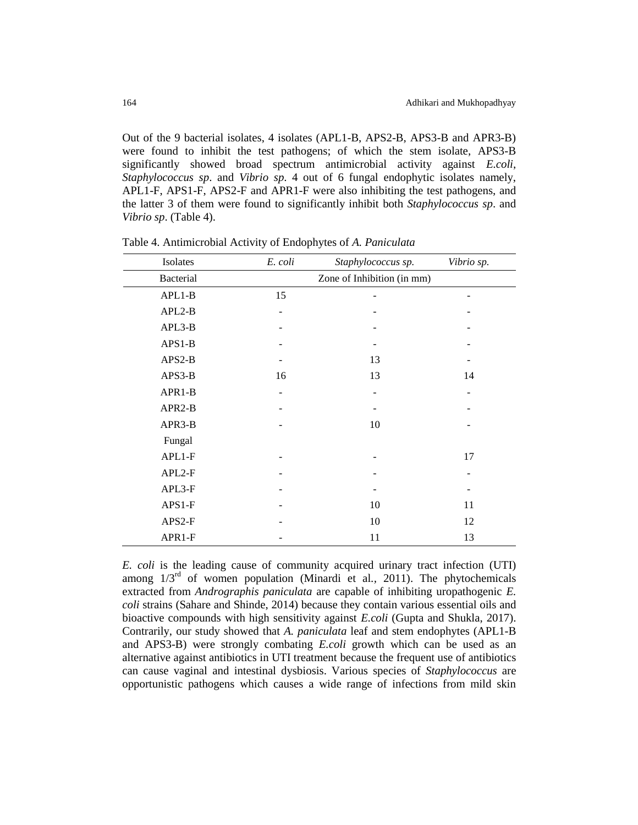Out of the 9 bacterial isolates, 4 isolates (APL1-B, APS2-B, APS3-B and APR3-B) were found to inhibit the test pathogens; of which the stem isolate, APS3-B significantly showed broad spectrum antimicrobial activity against *E.coli*, *Staphylococcus sp*. and *Vibrio sp*. 4 out of 6 fungal endophytic isolates namely, APL1-F, APS1-F, APS2-F and APR1-F were also inhibiting the test pathogens, and the latter 3 of them were found to significantly inhibit both *Staphylococcus sp*. and *Vibrio sp*. (Table 4).

| Isolates         | E. coli | Staphylococcus sp.         | Vibrio sp. |
|------------------|---------|----------------------------|------------|
| <b>Bacterial</b> |         | Zone of Inhibition (in mm) |            |
| $APL1-B$         | 15      |                            |            |
| $APL2-B$         |         |                            |            |
| APL3-B           |         |                            |            |
| $APS1-B$         |         |                            |            |
| APS2-B           |         | 13                         |            |
| APS3-B           | 16      | 13                         | 14         |
| APR1-B           |         |                            |            |
| APR2-B           |         |                            |            |
| APR3-B           |         | 10                         |            |
| Fungal           |         |                            |            |
| APL1-F           |         |                            | 17         |
| APL2-F           |         |                            |            |
| APL3-F           |         |                            |            |
| $APS1-F$         |         | 10                         | 11         |
| APS2-F           |         | 10                         | 12         |
| APR1-F           |         | 11                         | 13         |

Table 4. Antimicrobial Activity of Endophytes of *A. Paniculata*

*E. coli* is the leading cause of community acquired urinary tract infection (UTI) among 1/3rd of women population (Minardi et al*.,* 2011). The phytochemicals extracted from *Andrographis paniculata* are capable of inhibiting uropathogenic *E. coli* strains (Sahare and Shinde, 2014) because they contain various essential oils and bioactive compounds with high sensitivity against *E.coli* (Gupta and Shukla, 2017). Contrarily, our study showed that *A. paniculata* leaf and stem endophytes (APL1-B and APS3-B) were strongly combating *E.coli* growth which can be used as an alternative against antibiotics in UTI treatment because the frequent use of antibiotics can cause vaginal and intestinal dysbiosis. Various species of *Staphylococcus* are opportunistic pathogens which causes a wide range of infections from mild skin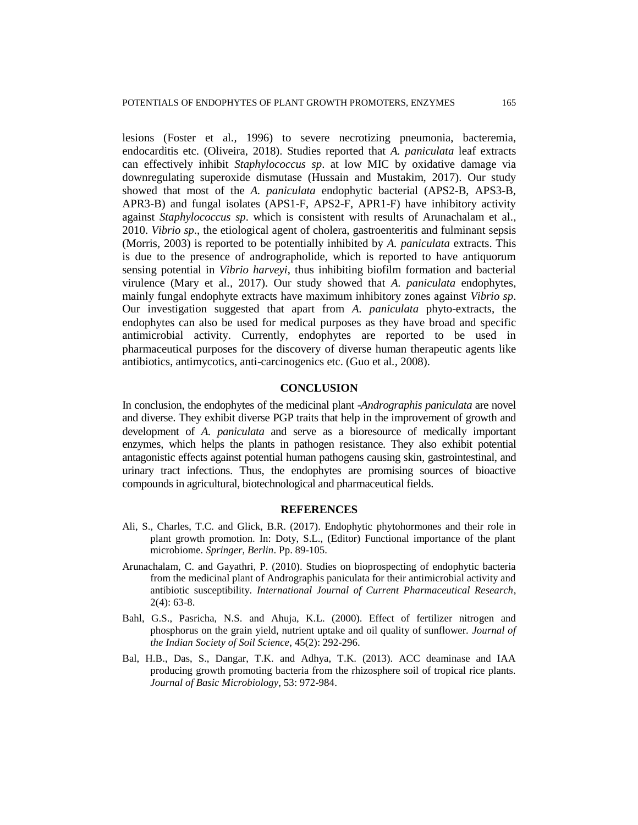lesions (Foster et al*.,* 1996) to severe necrotizing pneumonia, bacteremia, endocarditis etc. (Oliveira, 2018). Studies reported that *A. paniculata* leaf extracts can effectively inhibit *Staphylococcus sp*. at low MIC by oxidative damage via downregulating superoxide dismutase (Hussain and Mustakim, 2017). Our study showed that most of the *A. paniculata* endophytic bacterial (APS2-B, APS3-B, APR3-B) and fungal isolates (APS1-F, APS2-F, APR1-F) have inhibitory activity against *Staphylococcus sp*. which is consistent with results of Arunachalam et al*.,* 2010. *Vibrio sp*., the etiological agent of cholera, gastroenteritis and fulminant sepsis (Morris, 2003) is reported to be potentially inhibited by *A. paniculata* extracts. This is due to the presence of andrographolide, which is reported to have antiquorum sensing potential in *Vibrio harveyi*, thus inhibiting biofilm formation and bacterial virulence (Mary et al*.,* 2017). Our study showed that *A. paniculata* endophytes, mainly fungal endophyte extracts have maximum inhibitory zones against *Vibrio sp*. Our investigation suggested that apart from *A. paniculata* phyto-extracts, the endophytes can also be used for medical purposes as they have broad and specific antimicrobial activity. Currently, endophytes are reported to be used in pharmaceutical purposes for the discovery of diverse human therapeutic agents like antibiotics, antimycotics, anti-carcinogenics etc. (Guo et al*.,* 2008).

#### **CONCLUSION**

In conclusion, the endophytes of the medicinal plant -*Andrographis paniculata* are novel and diverse. They exhibit diverse PGP traits that help in the improvement of growth and development of *A. paniculata* and serve as a bioresource of medically important enzymes, which helps the plants in pathogen resistance. They also exhibit potential antagonistic effects against potential human pathogens causing skin, gastrointestinal, and urinary tract infections. Thus, the endophytes are promising sources of bioactive compounds in agricultural, biotechnological and pharmaceutical fields.

#### **REFERENCES**

- Ali, S., Charles, T.C. and Glick, B.R. (2017). Endophytic phytohormones and their role in plant growth promotion. In: Doty, S.L., (Editor) Functional importance of the plant microbiome. *Springer, Berlin*. Pp. 89-105.
- Arunachalam, C. and Gayathri, P. (2010). Studies on bioprospecting of endophytic bacteria from the medicinal plant of Andrographis paniculata for their antimicrobial activity and antibiotic susceptibility. *International Journal of Current Pharmaceutical Research*, 2(4): 63-8.
- Bahl, G.S., Pasricha, N.S. and Ahuja, K.L. (2000). Effect of fertilizer nitrogen and phosphorus on the grain yield, nutrient uptake and oil quality of sunflower. *Journal of the Indian Society of Soil Science*, 45(2): 292-296.
- Bal, H.B., Das, S., Dangar, T.K. and Adhya, T.K. (2013). ACC deaminase and IAA producing growth promoting bacteria from the rhizosphere soil of tropical rice plants. *Journal of Basic Microbiology*, 53: 972-984.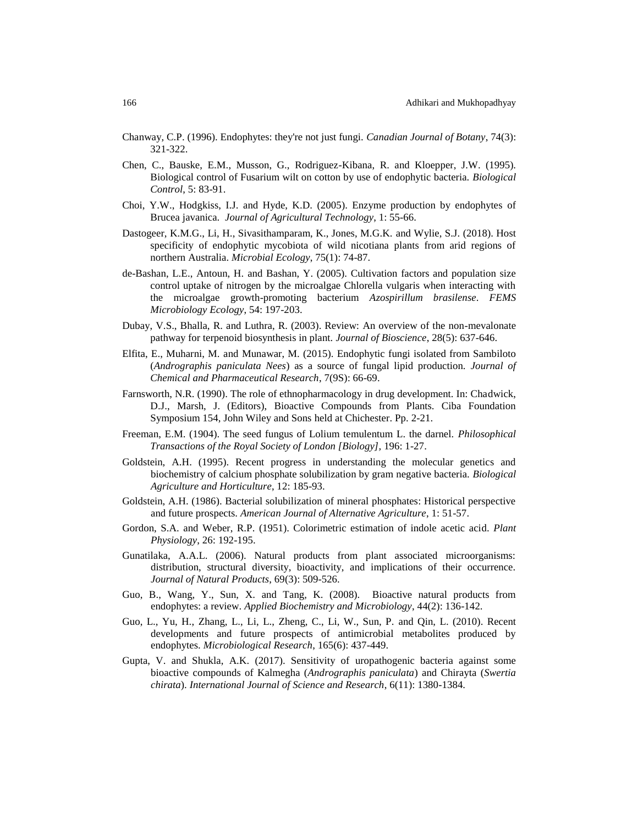- Chanway, C.P. (1996). Endophytes: they're not just fungi. *Canadian Journal of Botany*, 74(3): 321-322.
- Chen, C., Bauske, E.M., Musson, G., Rodriguez-Kibana, R. and Kloepper, J.W. (1995). Biological control of Fusarium wilt on cotton by use of endophytic bacteria. *Biological Control*, 5: 83-91.
- Choi, Y.W., Hodgkiss, I.J. and Hyde, K.D. (2005). Enzyme production by endophytes of Brucea javanica. *Journal of Agricultural Technology*, 1: 55-66.
- Dastogeer, K.M.G., Li, H., Sivasithamparam, K., Jones, M.G.K. and Wylie, S.J. (2018). Host specificity of endophytic mycobiota of wild nicotiana plants from arid regions of northern Australia. *Microbial Ecology*, 75(1): 74-87.
- de-Bashan, L.E., Antoun, H. and Bashan, Y. (2005). Cultivation factors and population size control uptake of nitrogen by the microalgae Chlorella vulgaris when interacting with the microalgae growth-promoting bacterium *Azospirillum brasilense*. *FEMS Microbiology Ecology*, 54: 197-203.
- Dubay, V.S., Bhalla, R. and Luthra, R. (2003). Review: An overview of the non-mevalonate pathway for terpenoid biosynthesis in plant. *Journal of Bioscience*, 28(5): 637-646.
- Elfita, E., Muharni, M. and Munawar, M. (2015). Endophytic fungi isolated from Sambiloto (*Andrographis paniculata Nees*) as a source of fungal lipid production. *Journal of Chemical and Pharmaceutical Research*, 7(9S): 66-69.
- Farnsworth, N.R. (1990). The role of ethnopharmacology in drug development. In: Chadwick, D.J., Marsh, J. (Editors), Bioactive Compounds from Plants. Ciba Foundation Symposium 154, John Wiley and Sons held at Chichester. Pp. 2-21.
- Freeman, E.M. (1904). The seed fungus of Lolium temulentum L. the darnel. *Philosophical Transactions of the Royal Society of London [Biology],* 196: 1-27.
- Goldstein, A.H. (1995). Recent progress in understanding the molecular genetics and biochemistry of calcium phosphate solubilization by gram negative bacteria. *Biological Agriculture and Horticulture*, 12: 185-93.
- Goldstein, A.H. (1986). Bacterial solubilization of mineral phosphates: Historical perspective and future prospects. *American Journal of Alternative Agriculture*, 1: 51-57.
- Gordon, S.A. and Weber, R.P. (1951). Colorimetric estimation of indole acetic acid. *Plant Physiology*, 26: 192-195.
- Gunatilaka, A.A.L. (2006). Natural products from plant associated microorganisms: distribution, structural diversity, bioactivity, and implications of their occurrence. *Journal of Natural Products*, 69(3): 509-526.
- Guo, B., Wang, Y., Sun, X. and Tang, K. (2008). Bioactive natural products from endophytes: a review. *Applied Biochemistry and Microbiology*, 44(2): 136-142.
- Guo, L., Yu, H., Zhang, L., Li, L., Zheng, C., Li, W., Sun, P. and Qin, L. (2010). Recent developments and future prospects of antimicrobial metabolites produced by endophytes. *Microbiological Research*, 165(6): 437-449.
- Gupta, V. and Shukla, A.K. (2017). Sensitivity of uropathogenic bacteria against some bioactive compounds of Kalmegha (*Andrographis paniculata*) and Chirayta (*Swertia chirata*). *International Journal of Science and Research*, 6(11): 1380-1384.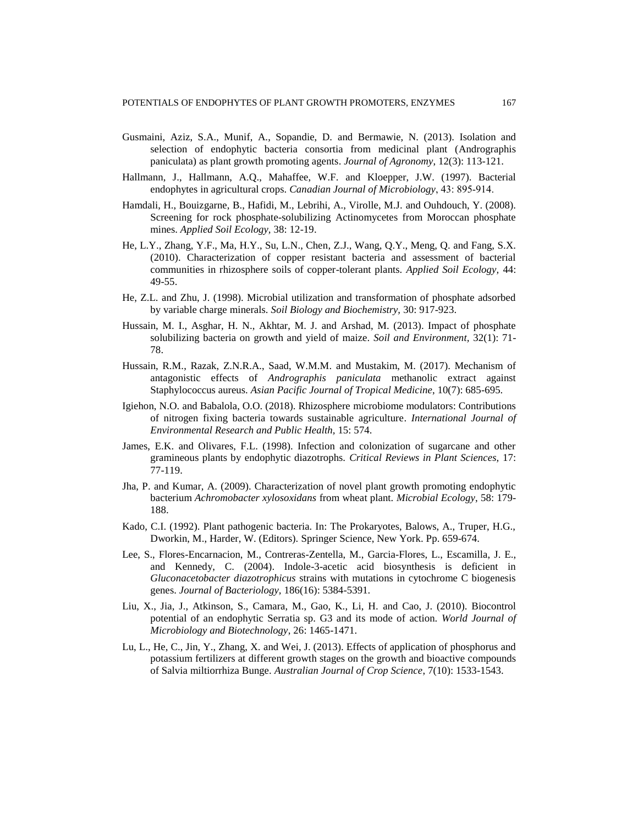- Gusmaini, Aziz, S.A., Munif, A., Sopandie, D. and Bermawie, N. (2013). Isolation and selection of endophytic bacteria consortia from medicinal plant (Andrographis paniculata) as plant growth promoting agents. *Journal of Agronomy*, 12(3): 113-121.
- Hallmann, J., Hallmann, A.Q., Mahaffee, W.F. and Kloepper, J.W. (1997). Bacterial endophytes in agricultural crops. *Canadian Journal of Microbiology*, 43: 895‐914.
- Hamdali, H., Bouizgarne, B., Hafidi, M., Lebrihi, A., Virolle, M.J. and Ouhdouch, Y. (2008). Screening for rock phosphate-solubilizing Actinomycetes from Moroccan phosphate mines. *Applied Soil Ecology,* 38: 12-19.
- He, L.Y., Zhang, Y.F., Ma, H.Y., Su, L.N., Chen, Z.J., Wang, Q.Y., Meng, Q. and Fang, S.X. (2010). Characterization of copper resistant bacteria and assessment of bacterial communities in rhizosphere soils of copper-tolerant plants. *Applied Soil Ecology,* 44: 49-55.
- He, Z.L. and Zhu, J. (1998). Microbial utilization and transformation of phosphate adsorbed by variable charge minerals. *Soil Biology and Biochemistry,* 30: 917-923.
- Hussain, M. I., Asghar, H. N., Akhtar, M. J. and Arshad, M. (2013). Impact of phosphate solubilizing bacteria on growth and yield of maize. *Soil and Environment,* 32(1): 71- 78.
- Hussain, R.M., Razak, Z.N.R.A., Saad, W.M.M. and Mustakim, M. (2017). Mechanism of antagonistic effects of *Andrographis paniculata* methanolic extract against Staphylococcus aureus. *Asian Pacific Journal of Tropical Medicine*, 10(7): 685-695.
- Igiehon, N.O. and Babalola, O.O. (2018). Rhizosphere microbiome modulators: Contributions of nitrogen fixing bacteria towards sustainable agriculture. *International Journal of Environmental Research and Public Health,* 15: 574.
- James, E.K. and Olivares, F.L. (1998). Infection and colonization of sugarcane and other gramineous plants by endophytic diazotrophs. *Critical Reviews in Plant Sciences,* 17: 77-119.
- Jha, P. and Kumar, A. (2009). Characterization of novel plant growth promoting endophytic bacterium *Achromobacter xylosoxidans* from wheat plant. *Microbial Ecology*, 58: 179- 188.
- Kado, C.I. (1992). Plant pathogenic bacteria. In: The Prokaryotes, Balows, A., Truper, H.G., Dworkin, M., Harder, W. (Editors). Springer Science, New York. Pp. 659-674.
- Lee, S., Flores-Encarnacion, M., Contreras-Zentella, M., Garcia-Flores, L., Escamilla, J. E., and Kennedy, C. (2004). Indole-3-acetic acid biosynthesis is deficient in *Gluconacetobacter diazotrophicus* strains with mutations in cytochrome C biogenesis genes. *Journal of Bacteriology,* 186(16): 5384-5391.
- Liu, X., Jia, J., Atkinson, S., Camara, M., Gao, K., Li, H. and Cao, J. (2010). Biocontrol potential of an endophytic Serratia sp. G3 and its mode of action. *World Journal of Microbiology and Biotechnology*, 26: 1465-1471.
- Lu, L., He, C., Jin, Y., Zhang, X. and Wei, J. (2013). Effects of application of phosphorus and potassium fertilizers at different growth stages on the growth and bioactive compounds of Salvia miltiorrhiza Bunge. *Australian Journal of Crop Science*, 7(10): 1533-1543.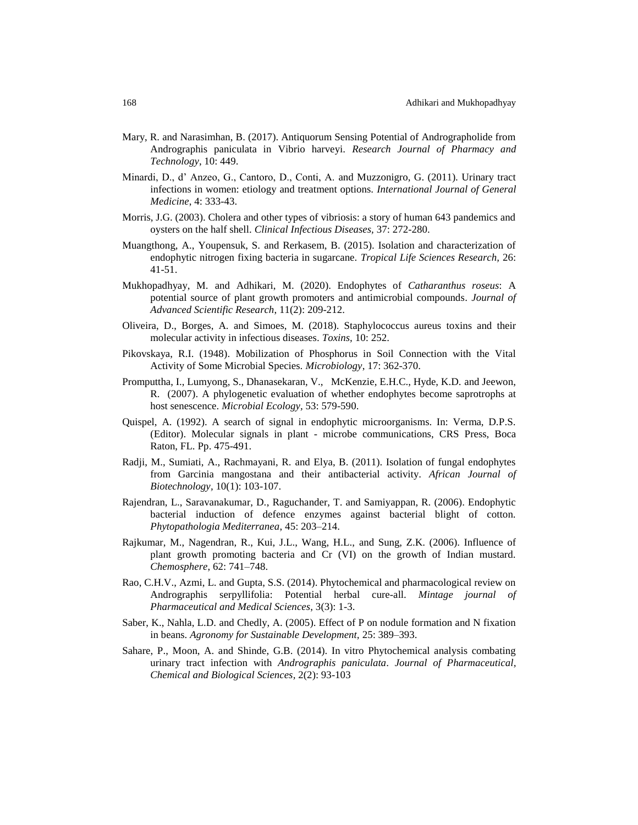- Mary, R. and Narasimhan, B. (2017). Antiquorum Sensing Potential of Andrographolide from Andrographis paniculata in Vibrio harveyi. *Research Journal of Pharmacy and Technology*, 10: 449.
- Minardi, D., d' Anzeo, G., Cantoro, D., Conti, A. and Muzzonigro, G. (2011). Urinary tract infections in women: etiology and treatment options. *International Journal of General Medicine*, 4: 333-43.
- Morris, J.G. (2003). Cholera and other types of vibriosis: a story of human 643 pandemics and oysters on the half shell. *Clinical Infectious Diseases,* 37: 272-280.
- Muangthong, A., Youpensuk, S. and Rerkasem, B. (2015). Isolation and characterization of endophytic nitrogen fixing bacteria in sugarcane. *Tropical Life Sciences Research,* 26: 41-51.
- Mukhopadhyay, M. and Adhikari, M. (2020). Endophytes of *Catharanthus roseus*: A potential source of plant growth promoters and antimicrobial compounds. *Journal of Advanced Scientific Research*, 11(2): 209-212.
- Oliveira, D., Borges, A. and Simoes, M. (2018). Staphylococcus aureus toxins and their molecular activity in infectious diseases. *Toxins,* 10: 252.
- Pikovskaya, R.I. (1948). Mobilization of Phosphorus in Soil Connection with the Vital Activity of Some Microbial Species. *Microbiology*, 17: 362-370.
- Promputtha, I., Lumyong, S., Dhanasekaran, V., McKenzie, E.H.C., Hyde, K.D. and Jeewon, R. (2007). A phylogenetic evaluation of whether endophytes become saprotrophs at host senescence. *Microbial Ecology,* 53: 579-590.
- Quispel, A. (1992). A search of signal in endophytic microorganisms. In: Verma, D.P.S. (Editor). Molecular signals in plant - microbe communications, CRS Press, Boca Raton, FL. Pp. 475-491.
- Radji, M., Sumiati, A., Rachmayani, R. and Elya, B. (2011). Isolation of fungal endophytes from Garcinia mangostana and their antibacterial activity. *African Journal of Biotechnology,* 10(1): 103-107.
- Rajendran, L., Saravanakumar, D., Raguchander, T. and Samiyappan, R. (2006). Endophytic bacterial induction of defence enzymes against bacterial blight of cotton. *Phytopathologia Mediterranea*, 45: 203–214.
- Rajkumar, M., Nagendran, R., Kui, J.L., Wang, H.L., and Sung, Z.K. (2006). Influence of plant growth promoting bacteria and Cr (VI) on the growth of Indian mustard. *Chemosphere*, 62: 741–748.
- Rao, C.H.V., Azmi, L. and Gupta, S.S. (2014). Phytochemical and pharmacological review on Andrographis serpyllifolia: Potential herbal cure-all. *Mintage journal of Pharmaceutical and Medical Sciences*, 3(3): 1-3.
- Saber, K., Nahla, L.D. and Chedly, A. (2005). Effect of P on nodule formation and N fixation in beans. *Agronomy for Sustainable Development,* 25: 389–393.
- Sahare, P., Moon, A. and Shinde, G.B. (2014). In vitro Phytochemical analysis combating urinary tract infection with *Andrographis paniculata*. *Journal of Pharmaceutical, Chemical and Biological Sciences,* 2(2): 93-103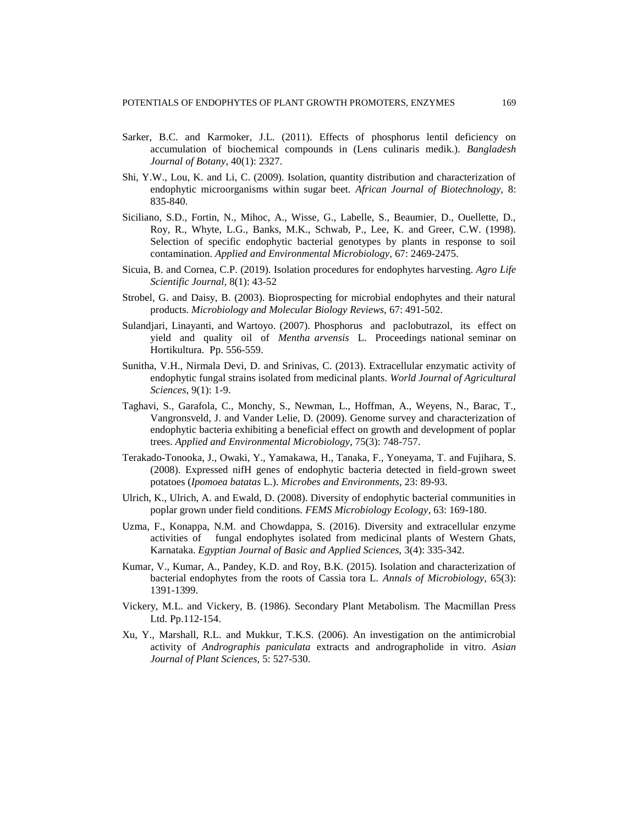- Sarker, B.C. and Karmoker, J.L. (2011). Effects of phosphorus lentil deficiency on accumulation of biochemical compounds in (Lens culinaris medik.). *Bangladesh Journal of Botany*, 40(1): 2327.
- Shi, Y.W., Lou, K. and Li, C. (2009). Isolation, quantity distribution and characterization of endophytic microorganisms within sugar beet. *African Journal of Biotechnology,* 8: 835-840.
- Siciliano, S.D., Fortin, N., Mihoc, A., Wisse, G., Labelle, S., Beaumier, D., Ouellette, D., Roy, R., Whyte, L.G., Banks, M.K., Schwab, P., Lee, K. and Greer, C.W. (1998). Selection of specific endophytic bacterial genotypes by plants in response to soil contamination. *Applied and Environmental Microbiology,* 67: 2469-2475.
- Sicuia, B. and Cornea, C.P. (2019). Isolation procedures for endophytes harvesting. *Agro Life Scientific Journal,* 8(1): 43-52
- Strobel, G. and Daisy, B. (2003). Bioprospecting for microbial endophytes and their natural products. *Microbiology and Molecular Biology Reviews,* 67: 491-502.
- Sulandjari, Linayanti, and Wartoyo. (2007). Phosphorus and paclobutrazol, its effect on yield and quality oil of *Mentha arvensis* L. Proceedings national seminar on Hortikultura. Pp. 556-559.
- Sunitha, V.H., Nirmala Devi, D. and Srinivas, C. (2013). Extracellular enzymatic activity of endophytic fungal strains isolated from medicinal plants. *World Journal of Agricultural Sciences,* 9(1): 1-9.
- Taghavi, S., Garafola, C., Monchy, S., Newman, L., Hoffman, A., Weyens, N., Barac, T., Vangronsveld, J. and Vander Lelie, D. (2009). Genome survey and characterization of endophytic bacteria exhibiting a beneficial effect on growth and development of poplar trees. *Applied and Environmental Microbiology*, 75(3): 748-757.
- Terakado-Tonooka, J., Owaki, Y., Yamakawa, H., Tanaka, F., Yoneyama, T. and Fujihara, S. (2008). Expressed nifH genes of endophytic bacteria detected in field-grown sweet potatoes (*Ipomoea batatas* L.). *Microbes and Environments*, 23: 89-93.
- Ulrich, K., Ulrich, A. and Ewald, D. (2008). Diversity of endophytic bacterial communities in poplar grown under field conditions. *FEMS Microbiology Ecology*, 63: 169-180.
- Uzma, F., Konappa, N.M. and Chowdappa, S. (2016). Diversity and extracellular enzyme activities of fungal endophytes isolated from medicinal plants of Western Ghats, Karnataka. *Egyptian Journal of Basic and Applied Sciences,* 3(4): 335-342.
- Kumar, V., Kumar, A., Pandey, K.D. and Roy, B.K. (2015). Isolation and characterization of bacterial endophytes from the roots of Cassia tora L. *Annals of Microbiology,* 65(3): 1391-1399.
- Vickery, M.L. and Vickery, B. (1986). Secondary Plant Metabolism. The Macmillan Press Ltd. Pp.112-154.
- Xu, Y., Marshall, R.L. and Mukkur, T.K.S. (2006). An investigation on the antimicrobial activity of *Andrographis paniculata* extracts and andrographolide in vitro. *Asian Journal of Plant Sciences,* 5: 527-530.